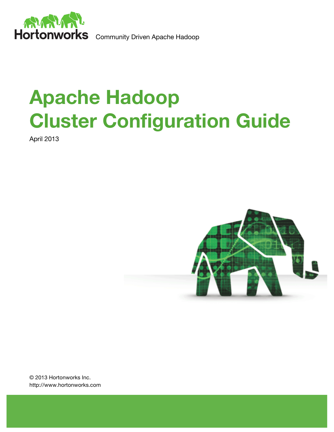

# **Apache Hadoop Cluster Configuration Guide**

April 2013



© 2013 Hortonworks Inc. http://www.hortonworks.com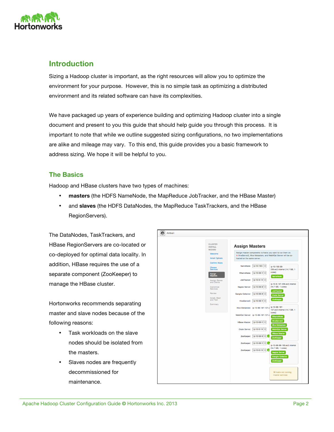

# **Introduction**

Sizing a Hadoop cluster is important, as the right resources will allow you to optimize the environment for your purpose. However, this is no simple task as optimizing a distributed environment and its related software can have its complexities.

We have packaged up years of experience building and optimizing Hadoop cluster into a single document and present to you this guide that should help guide you through this process. It is important to note that while we outline suggested sizing configurations, no two implementations are alike and mileage may vary. To this end, this guide provides you a basic framework to address sizing. We hope it will be helpful to you.

# **The Basics**

Hadoop and HBase clusters have two types of machines:

- **masters** (the HDFS NameNode, the MapReduce JobTracker, and the HBase Master)
- and **slaves** (the HDFS DataNodes, the MapReduce TaskTrackers, and the HBase RegionServers).

The DataNodes, TaskTrackers, and HBase RegionServers are co-located or co-deployed for optimal data locality. In addition, HBase requires the use of a separate component (ZooKeeper) to manage the HBase cluster.

Hortonworks recommends separating master and slave nodes because of the following reasons:

- Task workloads on the slave nodes should be isolated from the masters.
- Slaves nodes are frequently decommissioned for maintenance.

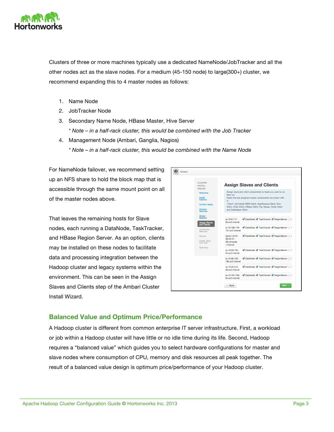

Clusters of three or more machines typically use a dedicated NameNode/JobTracker and all the other nodes act as the slave nodes. For a medium (45-150 node) to large(300+) cluster, we recommend expanding this to 4 master nodes as follows:

- 1. Name Node
- 2. JobTracker Node
- 3. Secondary Name Node, HBase Master, Hive Server *\* Note – in a half-rack cluster, this would be combined with the Job Tracker*
- 4. Management Node (Ambari, Ganglia, Nagios)

*\* Note – in a half-rack cluster, this would be combined with the Name Node*

For NameNode failover, we recommend setting up an NFS share to hold the block map that is accessible through the same mount point on all of the master nodes above.

That leaves the remaining hosts for Slave nodes, each running a DataNode, TaskTracker, and HBase Region Server. As an option, clients may be installed on these nodes to facilitate data and processing integration between the Hadoop cluster and legacy systems within the environment. This can be seen in the Assign Slaves and Clients step of the Ambari Cluster Install Wizard.



# **Balanced Value and Optimum Price/Performance**

A Hadoop cluster is different from common enterprise IT server infrastructure. First, a workload or job within a Hadoop cluster will have little or no idle time during its life. Second, Hadoop requires a "balanced value" which guides you to select hardware configurations for master and slave nodes where consumption of CPU, memory and disk resources all peak together. The result of a balanced value design is optimum price/performance of your Hadoop cluster.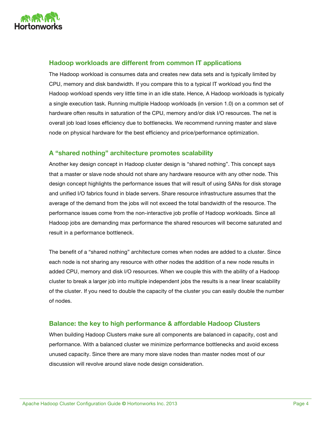

# **Hadoop workloads are different from common IT applications**

The Hadoop workload is consumes data and creates new data sets and is typically limited by CPU, memory and disk bandwidth. If you compare this to a typical IT workload you find the Hadoop workload spends very little time in an idle state. Hence, A Hadoop workloads is typically a single execution task. Running multiple Hadoop workloads (in version 1.0) on a common set of hardware often results in saturation of the CPU, memory and/or disk I/O resources. The net is overall job load loses efficiency due to bottlenecks. We recommend running master and slave node on physical hardware for the best efficiency and price/performance optimization.

# **A "shared nothing" architecture promotes scalability**

Another key design concept in Hadoop cluster design is "shared nothing". This concept says that a master or slave node should not share any hardware resource with any other node. This design concept highlights the performance issues that will result of using SANs for disk storage and unified I/O fabrics found in blade servers. Share resource infrastructure assumes that the average of the demand from the jobs will not exceed the total bandwidth of the resource. The performance issues come from the non-interactive job profile of Hadoop workloads. Since all Hadoop jobs are demanding max performance the shared resources will become saturated and result in a performance bottleneck.

The benefit of a "shared nothing" architecture comes when nodes are added to a cluster. Since each node is not sharing any resource with other nodes the addition of a new node results in added CPU, memory and disk I/O resources. When we couple this with the ability of a Hadoop cluster to break a larger job into multiple independent jobs the results is a near linear scalability of the cluster. If you need to double the capacity of the cluster you can easily double the number of nodes.

## **Balance: the key to high performance & affordable Hadoop Clusters**

When building Hadoop Clusters make sure all components are balanced in capacity, cost and performance. With a balanced cluster we minimize performance bottlenecks and avoid excess unused capacity. Since there are many more slave nodes than master nodes most of our discussion will revolve around slave node design consideration.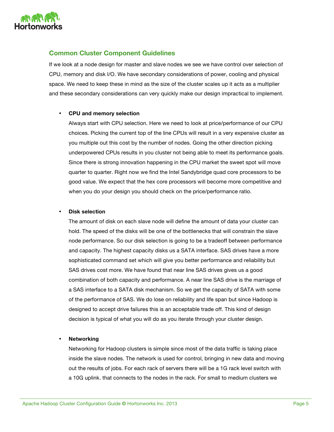

# **Common Cluster Component Guidelines**

If we look at a node design for master and slave nodes we see we have control over selection of CPU, memory and disk I/O. We have secondary considerations of power, cooling and physical space. We need to keep these in mind as the size of the cluster scales up it acts as a multiplier and these secondary considerations can very quickly make our design impractical to implement.

#### • **CPU and memory selection**

Always start with CPU selection. Here we need to look at price/performance of our CPU choices. Picking the current top of the line CPUs will result in a very expensive cluster as you multiple out this cost by the number of nodes. Going the other direction picking underpowered CPUs results in you cluster not being able to meet its performance goals. Since there is strong innovation happening in the CPU market the sweet spot will move quarter to quarter. Right now we find the Intel Sandybridge quad core processors to be good value. We expect that the hex core processors will become more competitive and when you do your design you should check on the price/performance ratio.

#### • **Disk selection**

The amount of disk on each slave node will define the amount of data your cluster can hold. The speed of the disks will be one of the bottlenecks that will constrain the slave node performance. So our disk selection is going to be a tradeoff between performance and capacity. The highest capacity disks us a SATA interface. SAS drives have a more sophisticated command set which will give you better performance and reliability but SAS drives cost more. We have found that near line SAS drives gives us a good combination of both capacity and performance. A near line SAS drive is the marriage of a SAS interface to a SATA disk mechanism. So we get the capacity of SATA with some of the performance of SAS. We do lose on reliability and life span but since Hadoop is designed to accept drive failures this is an acceptable trade off. This kind of design decision is typical of what you will do as you iterate through your cluster design.

#### • **Networking**

Networking for Hadoop clusters is simple since most of the data traffic is taking place inside the slave nodes. The network is used for control, bringing in new data and moving out the results of jobs. For each rack of servers there will be a 1G rack level switch with a 10G uplink. that connects to the nodes in the rack. For small to medium clusters we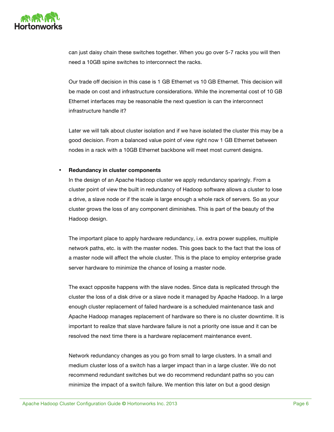

can just daisy chain these switches together. When you go over 5-7 racks you will then need a 10GB spine switches to interconnect the racks.

Our trade off decision in this case is 1 GB Ethernet vs 10 GB Ethernet. This decision will be made on cost and infrastructure considerations. While the incremental cost of 10 GB Ethernet interfaces may be reasonable the next question is can the interconnect infrastructure handle it?

Later we will talk about cluster isolation and if we have isolated the cluster this may be a good decision. From a balanced value point of view right now 1 GB Ethernet between nodes in a rack with a 10GB Ethernet backbone will meet most current designs.

#### • **Redundancy in cluster components**

In the design of an Apache Hadoop cluster we apply redundancy sparingly. From a cluster point of view the built in redundancy of Hadoop software allows a cluster to lose a drive, a slave node or if the scale is large enough a whole rack of servers. So as your cluster grows the loss of any component diminishes. This is part of the beauty of the Hadoop design.

The important place to apply hardware redundancy, i.e. extra power supplies, multiple network paths, etc. is with the master nodes. This goes back to the fact that the loss of a master node will affect the whole cluster. This is the place to employ enterprise grade server hardware to minimize the chance of losing a master node.

The exact opposite happens with the slave nodes. Since data is replicated through the cluster the loss of a disk drive or a slave node it managed by Apache Hadoop. In a large enough cluster replacement of failed hardware is a scheduled maintenance task and Apache Hadoop manages replacement of hardware so there is no cluster downtime. It is important to realize that slave hardware failure is not a priority one issue and it can be resolved the next time there is a hardware replacement maintenance event.

Network redundancy changes as you go from small to large clusters. In a small and medium cluster loss of a switch has a larger impact than in a large cluster. We do not recommend redundant switches but we do recommend redundant paths so you can minimize the impact of a switch failure. We mention this later on but a good design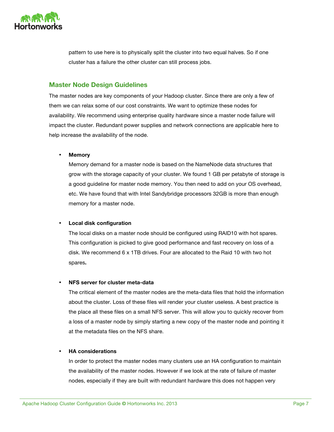

pattern to use here is to physically split the cluster into two equal halves. So if one cluster has a failure the other cluster can still process jobs.

# **Master Node Design Guidelines**

The master nodes are key components of your Hadoop cluster. Since there are only a few of them we can relax some of our cost constraints. We want to optimize these nodes for availability. We recommend using enterprise quality hardware since a master node failure will impact the cluster. Redundant power supplies and network connections are applicable here to help increase the availability of the node.

#### • **Memory**

Memory demand for a master node is based on the NameNode data structures that grow with the storage capacity of your cluster. We found 1 GB per petabyte of storage is a good guideline for master node memory. You then need to add on your OS overhead, etc. We have found that with Intel Sandybridge processors 32GB is more than enough memory for a master node.

#### • **Local disk configuration**

The local disks on a master node should be configured using RAID10 with hot spares. This configuration is picked to give good performance and fast recovery on loss of a disk. We recommend 6 x 1TB drives. Four are allocated to the Raid 10 with two hot spares**.**

#### • **NFS server for cluster meta-data**

The critical element of the master nodes are the meta-data files that hold the information about the cluster. Loss of these files will render your cluster useless. A best practice is the place all these files on a small NFS server. This will allow you to quickly recover from a loss of a master node by simply starting a new copy of the master node and pointing it at the metadata files on the NFS share.

#### • **HA considerations**

In order to protect the master nodes many clusters use an HA configuration to maintain the availability of the master nodes. However if we look at the rate of failure of master nodes, especially if they are built with redundant hardware this does not happen very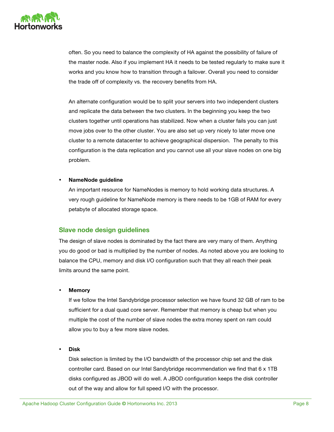

often. So you need to balance the complexity of HA against the possibility of failure of the master node. Also if you implement HA it needs to be tested regularly to make sure it works and you know how to transition through a failover. Overall you need to consider the trade off of complexity vs. the recovery benefits from HA.

An alternate configuration would be to split your servers into two independent clusters and replicate the data between the two clusters. In the beginning you keep the two clusters together until operations has stabilized. Now when a cluster fails you can just move jobs over to the other cluster. You are also set up very nicely to later move one cluster to a remote datacenter to achieve geographical dispersion. The penalty to this configuration is the data replication and you cannot use all your slave nodes on one big problem.

#### • **NameNode guideline**

An important resource for NameNodes is memory to hold working data structures. A very rough guideline for NameNode memory is there needs to be 1GB of RAM for every petabyte of allocated storage space.

# **Slave node design guidelines**

The design of slave nodes is dominated by the fact there are very many of them. Anything you do good or bad is multiplied by the number of nodes. As noted above you are looking to balance the CPU, memory and disk I/O configuration such that they all reach their peak limits around the same point.

#### • **Memory**

If we follow the Intel Sandybridge processor selection we have found 32 GB of ram to be sufficient for a dual quad core server. Remember that memory is cheap but when you multiple the cost of the number of slave nodes the extra money spent on ram could allow you to buy a few more slave nodes.

• **Disk**

Disk selection is limited by the I/O bandwidth of the processor chip set and the disk controller card. Based on our Intel Sandybridge recommendation we find that 6 x 1TB disks configured as JBOD will do well. A JBOD configuration keeps the disk controller out of the way and allow for full speed I/O with the processor.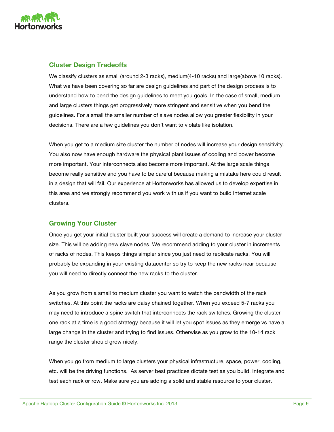

# **Cluster Design Tradeoffs**

We classify clusters as small (around 2-3 racks), medium(4-10 racks) and large(above 10 racks). What we have been covering so far are design guidelines and part of the design process is to understand how to bend the design guidelines to meet you goals. In the case of small, medium and large clusters things get progressively more stringent and sensitive when you bend the guidelines. For a small the smaller number of slave nodes allow you greater flexibility in your decisions. There are a few guidelines you don't want to violate like isolation.

When you get to a medium size cluster the number of nodes will increase your design sensitivity. You also now have enough hardware the physical plant issues of cooling and power become more important. Your interconnects also become more important. At the large scale things become really sensitive and you have to be careful because making a mistake here could result in a design that will fail. Our experience at Hortonworks has allowed us to develop expertise in this area and we strongly recommend you work with us if you want to build Internet scale clusters.

# **Growing Your Cluster**

Once you get your initial cluster built your success will create a demand to increase your cluster size. This will be adding new slave nodes. We recommend adding to your cluster in increments of racks of nodes. This keeps things simpler since you just need to replicate racks. You will probably be expanding in your existing datacenter so try to keep the new racks near because you will need to directly connect the new racks to the cluster.

As you grow from a small to medium cluster you want to watch the bandwidth of the rack switches. At this point the racks are daisy chained together. When you exceed 5-7 racks you may need to introduce a spine switch that interconnects the rack switches. Growing the cluster one rack at a time is a good strategy because it will let you spot issues as they emerge vs have a large change in the cluster and trying to find issues. Otherwise as you grow to the 10-14 rack range the cluster should grow nicely.

When you go from medium to large clusters your physical infrastructure, space, power, cooling, etc. will be the driving functions. As server best practices dictate test as you build. Integrate and test each rack or row. Make sure you are adding a solid and stable resource to your cluster.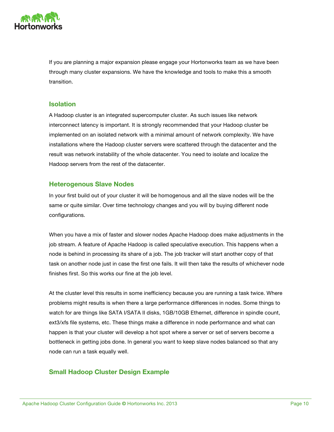

If you are planning a major expansion please engage your Hortonworks team as we have been through many cluster expansions. We have the knowledge and tools to make this a smooth transition.

## **Isolation**

A Hadoop cluster is an integrated supercomputer cluster. As such issues like network interconnect latency is important. It is strongly recommended that your Hadoop cluster be implemented on an isolated network with a minimal amount of network complexity. We have installations where the Hadoop cluster servers were scattered through the datacenter and the result was network instability of the whole datacenter. You need to isolate and localize the Hadoop servers from the rest of the datacenter.

# **Heterogenous Slave Nodes**

In your first build out of your cluster it will be homogenous and all the slave nodes will be the same or quite similar. Over time technology changes and you will by buying different node configurations.

When you have a mix of faster and slower nodes Apache Hadoop does make adjustments in the job stream. A feature of Apache Hadoop is called speculative execution. This happens when a node is behind in processing its share of a job. The job tracker will start another copy of that task on another node just in case the first one fails. It will then take the results of whichever node finishes first. So this works our fine at the job level.

At the cluster level this results in some inefficiency because you are running a task twice. Where problems might results is when there a large performance differences in nodes. Some things to watch for are things like SATA I/SATA II disks, 1GB/10GB Ethernet, difference in spindle count, ext3/xfs file systems, etc. These things make a difference in node performance and what can happen is that your cluster will develop a hot spot where a server or set of servers become a bottleneck in getting jobs done. In general you want to keep slave nodes balanced so that any node can run a task equally well.

# **Small Hadoop Cluster Design Example**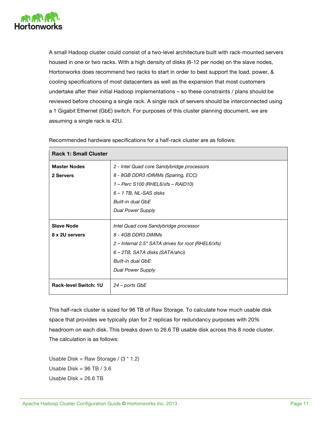

A small Hadoop cluster could consist of a two-level architecture built with rack-mounted servers housed in one or two racks. With a high density of disks (6-12 per node) on the slave nodes, Hortonworks does recommend two racks to start in order to best support the load, power, & cooling specifications of most datacenters as well as the expansion that most customers undertake after their initial Hadoop implementations – so these constraints / plans should be reviewed before choosing a single rack. A single rack of servers should be interconnected using a 1 Gigabit Ethernet (GbE) switch. For purposes of this cluster planning document, we are assuming a single rack is 42U.

| <b>Rack 1: Small Cluster</b> |                                                    |
|------------------------------|----------------------------------------------------|
| <b>Master Nodes</b>          | 2 - Intel Quad core Sandybridge processors         |
| 2 Servers                    | 8 - 8GB DDR3 rDIMMs (Sparing, ECC)                 |
|                              | 1 - Perc S100 (RHEL6/xfs - RAID10)                 |
|                              | $6 - 1$ TB, NL-SAS disks                           |
|                              | <b>Built-in dual GbF</b>                           |
|                              | Dual Power Supply                                  |
|                              |                                                    |
| <b>Slave Node</b>            | Intel Quad core Sandybridge processor              |
| 8 x 2U servers               | 8 - 4GB DDR3 DIMMs                                 |
|                              | 2 – Internal 2.5" SATA drives for root (RHEL6/xfs) |
|                              | 6 – 2TB, SATA disks (SATA/ahci)                    |
|                              | Built-in dual GbE                                  |
|                              | <b>Dual Power Supply</b>                           |
|                              |                                                    |
| <b>Rack-level Switch: 1U</b> | 24 – ports GbE                                     |
|                              |                                                    |

Recommended hardware specifications for a half-rack cluster are as follows:

This half-rack cluster is sized for 96 TB of Raw Storage. To calculate how much usable disk space that provides we typically plan for 2 replicas for redundancy purposes with 20% headroom on each disk. This breaks down to 26.6 TB usable disk across this 8 node cluster. The calculation is as follows:

Usable Disk = Raw Storage /  $(3 * 1.2)$ Usable Disk =  $96$  TB  $/$  3.6 Usable  $Disk = 26.6$  TB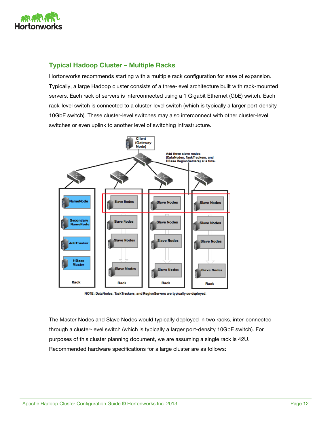

# **Typical Hadoop Cluster – Multiple Racks**

Hortonworks recommends starting with a multiple rack configuration for ease of expansion. Typically, a large Hadoop cluster consists of a three-level architecture built with rack-mounted servers. Each rack of servers is interconnected using a 1 Gigabit Ethernet (GbE) switch. Each rack-level switch is connected to a cluster-level switch (which is typically a larger port-density 10GbE switch). These cluster-level switches may also interconnect with other cluster-level switches or even uplink to another level of switching infrastructure.



NOTE: DataNodes, TaskTrackers, and RegionServers are typically co-deployed.

The Master Nodes and Slave Nodes would typically deployed in two racks, inter-connected through a cluster-level switch (which is typically a larger port-density 10GbE switch). For purposes of this cluster planning document, we are assuming a single rack is 42U. Recommended hardware specifications for a large cluster are as follows: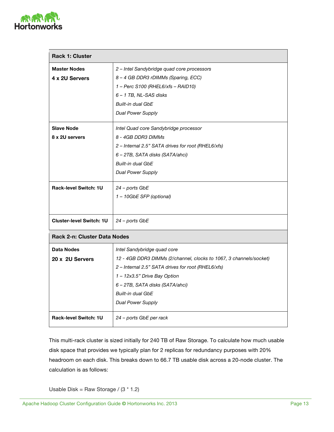

| <b>Rack 1: Cluster</b>          |                                                                    |
|---------------------------------|--------------------------------------------------------------------|
| <b>Master Nodes</b>             | 2 - Intel Sandybridge quad core processors                         |
| 4 x 2U Servers                  | 8 – 4 GB DDR3 rDIMMs (Sparing, ECC)                                |
|                                 | 1 - Perc S100 (RHEL6/xfs - RAID10)                                 |
|                                 | 6-1 TB, NL-SAS disks                                               |
|                                 | Built-in dual GbE                                                  |
|                                 | <b>Dual Power Supply</b>                                           |
| <b>Slave Node</b>               | Intel Quad core Sandybridge processor                              |
| 8 x 2U servers                  | 8 - 4GB DDR3 DIMMs                                                 |
|                                 | 2 - Internal 2.5" SATA drives for root (RHEL6/xfs)                 |
|                                 | 6 - 2TB, SATA disks (SATA/ahci)                                    |
|                                 | Built-in dual GbE                                                  |
|                                 | <b>Dual Power Supply</b>                                           |
| <b>Rack-level Switch: 1U</b>    | 24 – ports GbE                                                     |
|                                 | 1 - 10GbE SFP (optional)                                           |
|                                 |                                                                    |
| <b>Cluster-level Switch: 1U</b> | 24 - ports GbE                                                     |
| Rack 2-n: Cluster Data Nodes    |                                                                    |
| Data Nodes                      | Intel Sandybridge quad core                                        |
| 20 x 2U Servers                 | 12 - 4GB DDR3 DIMMs (2/channel, clocks to 1067, 3 channels/socket) |
|                                 | 2 - Internal 2.5" SATA drives for root (RHEL6/xfs)                 |
|                                 | 1 - 12x3.5" Drive Bay Option                                       |
|                                 | 6 - 2TB, SATA disks (SATA/ahci)                                    |
|                                 | Built-in dual GbE                                                  |
|                                 | <b>Dual Power Supply</b>                                           |
| <b>Rack-level Switch: 1U</b>    | 24 – ports GbE per rack                                            |

This multi-rack cluster is sized initially for 240 TB of Raw Storage. To calculate how much usable disk space that provides we typically plan for 2 replicas for redundancy purposes with 20% headroom on each disk. This breaks down to 66.7 TB usable disk across a 20-node cluster. The calculation is as follows:

Usable Disk = Raw Storage /  $(3 * 1.2)$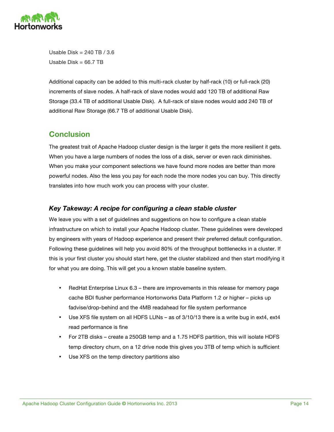

Usable Disk = 240 TB / 3.6 Usable  $Disk = 66.7$  TB

Additional capacity can be added to this multi-rack cluster by half-rack (10) or full-rack (20) increments of slave nodes. A half-rack of slave nodes would add 120 TB of additional Raw Storage (33.4 TB of additional Usable Disk). A full-rack of slave nodes would add 240 TB of additional Raw Storage (66.7 TB of additional Usable Disk).

# **Conclusion**

The greatest trait of Apache Hadoop cluster design is the larger it gets the more resilient it gets. When you have a large numbers of nodes the loss of a disk, server or even rack diminishes. When you make your component selections we have found more nodes are better than more powerful nodes. Also the less you pay for each node the more nodes you can buy. This directly translates into how much work you can process with your cluster.

# *Key Takeway: A recipe for configuring a clean stable cluster*

We leave you with a set of guidelines and suggestions on how to configure a clean stable infrastructure on which to install your Apache Hadoop cluster. These guidelines were developed by engineers with years of Hadoop experience and present their preferred default configuration. Following these guidelines will help you avoid 80% of the throughput bottlenecks in a cluster. If this is your first cluster you should start here, get the cluster stabilized and then start modifying it for what you are doing. This will get you a known stable baseline system.

- RedHat Enterprise Linux 6.3 there are improvements in this release for memory page cache BDI flusher performance Hortonworks Data Platform 1.2 or higher – picks up fadvise/drop-behind and the 4MB readahead for file system performance
- Use XFS file system on all HDFS LUNs as of 3/10/13 there is a write bug in ext4, ext4 read performance is fine
- For 2TB disks create a 250GB temp and a 1.75 HDFS partition, this will isolate HDFS temp directory churn, on a 12 drive node this gives you 3TB of temp which is sufficient
- Use XFS on the temp directory partitions also